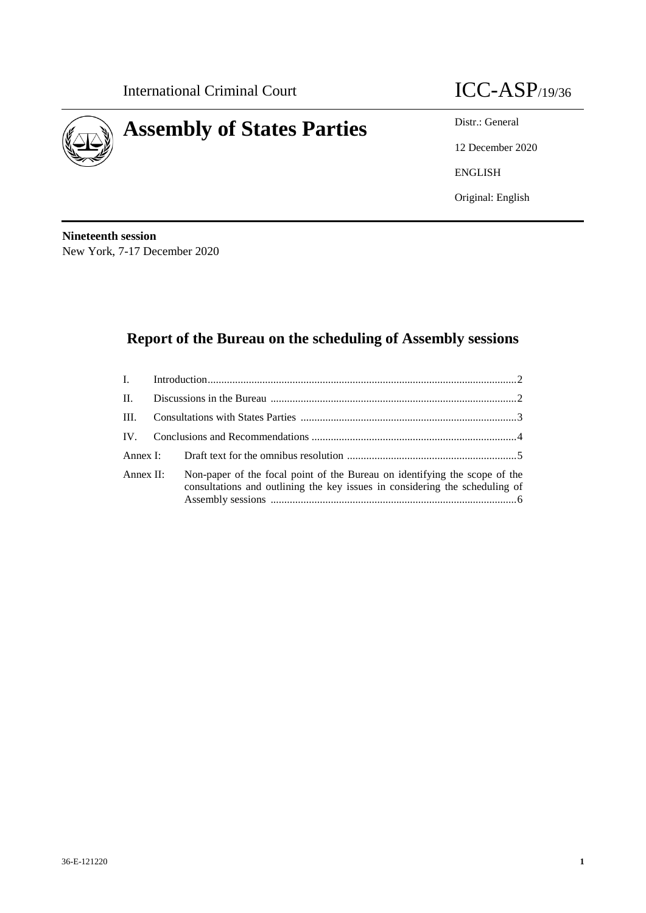



12 December 2020 ENGLISH Original: English

**Nineteenth session** New York, 7-17 December 2020

# **Report of the Bureau on the scheduling of Assembly sessions**

| $\mathbf{II}$ . |                                                                                                                                                           |  |
|-----------------|-----------------------------------------------------------------------------------------------------------------------------------------------------------|--|
| III.            |                                                                                                                                                           |  |
|                 |                                                                                                                                                           |  |
|                 |                                                                                                                                                           |  |
| Annex $II$ :    | Non-paper of the focal point of the Bureau on identifying the scope of the<br>consultations and outlining the key issues in considering the scheduling of |  |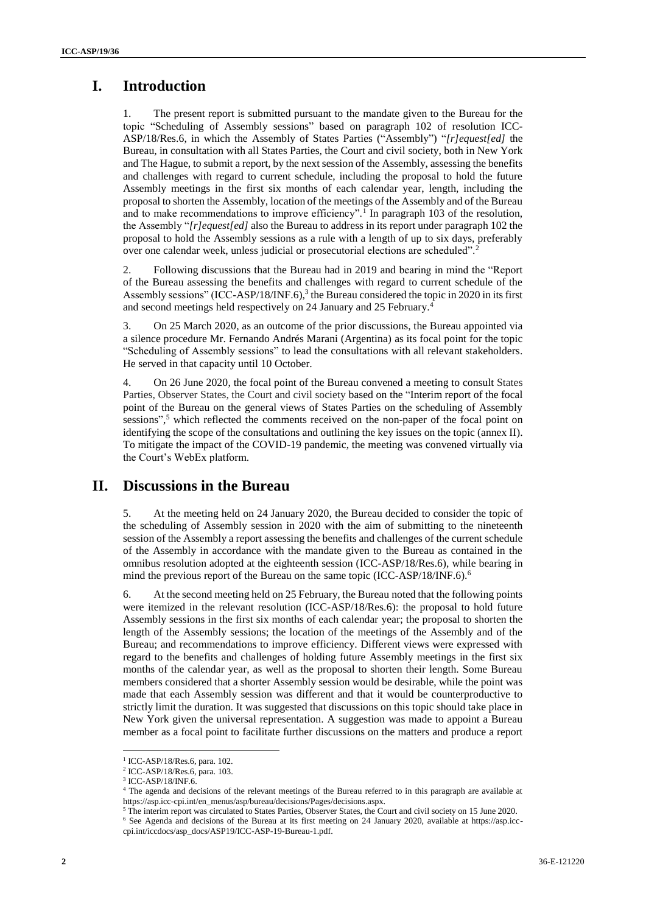## **I. Introduction**

1. The present report is submitted pursuant to the mandate given to the Bureau for the topic "Scheduling of Assembly sessions" based on paragraph 102 of resolution ICC-ASP/18/Res.6, in which the Assembly of States Parties ("Assembly") "*[r]equest[ed]* the Bureau, in consultation with all States Parties, the Court and civil society, both in New York and The Hague, to submit a report, by the next session of the Assembly, assessing the benefits and challenges with regard to current schedule, including the proposal to hold the future Assembly meetings in the first six months of each calendar year, length, including the proposal to shorten the Assembly, location of the meetings of the Assembly and of the Bureau and to make recommendations to improve efficiency".<sup>1</sup> In paragraph 103 of the resolution, the Assembly "*[r]equest[ed]* also the Bureau to address in its report under paragraph 102 the proposal to hold the Assembly sessions as a rule with a length of up to six days, preferably over one calendar week, unless judicial or prosecutorial elections are scheduled".<sup>2</sup>

2. Following discussions that the Bureau had in 2019 and bearing in mind the "Report of the Bureau assessing the benefits and challenges with regard to current schedule of the Assembly sessions" (ICC-ASP/18/INF.6),<sup>3</sup> the Bureau considered the topic in 2020 in its first and second meetings held respectively on 24 January and 25 February. 4

3. On 25 March 2020, as an outcome of the prior discussions, the Bureau appointed via a silence procedure Mr. Fernando Andrés Marani (Argentina) as its focal point for the topic "Scheduling of Assembly sessions" to lead the consultations with all relevant stakeholders. He served in that capacity until 10 October.

4. On 26 June 2020, the focal point of the Bureau convened a meeting to consult States Parties, Observer States, the Court and civil society based on the "Interim report of the focal point of the Bureau on the general views of States Parties on the scheduling of Assembly sessions",<sup>5</sup> which reflected the comments received on the non-paper of the focal point on identifying the scope of the consultations and outlining the key issues on the topic (annex II). To mitigate the impact of the COVID-19 pandemic, the meeting was convened virtually via the Court's WebEx platform.

### **II. Discussions in the Bureau**

5. At the meeting held on 24 January 2020, the Bureau decided to consider the topic of the scheduling of Assembly session in 2020 with the aim of submitting to the nineteenth session of the Assembly a report assessing the benefits and challenges of the current schedule of the Assembly in accordance with the mandate given to the Bureau as contained in the omnibus resolution adopted at the eighteenth session (ICC-ASP/18/Res.6), while bearing in mind the previous report of the Bureau on the same topic (ICC-ASP/18/INF.6).<sup>6</sup>

6. At the second meeting held on 25 February, the Bureau noted that the following points were itemized in the relevant resolution (ICC-ASP/18/Res.6): the proposal to hold future Assembly sessions in the first six months of each calendar year; the proposal to shorten the length of the Assembly sessions; the location of the meetings of the Assembly and of the Bureau; and recommendations to improve efficiency. Different views were expressed with regard to the benefits and challenges of holding future Assembly meetings in the first six months of the calendar year, as well as the proposal to shorten their length. Some Bureau members considered that a shorter Assembly session would be desirable, while the point was made that each Assembly session was different and that it would be counterproductive to strictly limit the duration. It was suggested that discussions on this topic should take place in New York given the universal representation. A suggestion was made to appoint a Bureau member as a focal point to facilitate further discussions on the matters and produce a report

 $\overline{a}$ 

<sup>1</sup> ICC-ASP/18/Res.6, para. 102.

<sup>2</sup> ICC-ASP/18/Res.6, para. 103.

<sup>3</sup> ICC-ASP/18/INF.6.

<sup>4</sup> The agenda and decisions of the relevant meetings of the Bureau referred to in this paragraph are available at https://asp.icc-cpi.int/en\_menus/asp/bureau/decisions/Pages/decisions.aspx.

<sup>5</sup> The interim report was circulated to States Parties, Observer States, the Court and civil society on 15 June 2020.

<sup>6</sup> See Agenda and decisions of the Bureau at its first meeting on 24 January 2020, available at https://asp.icc-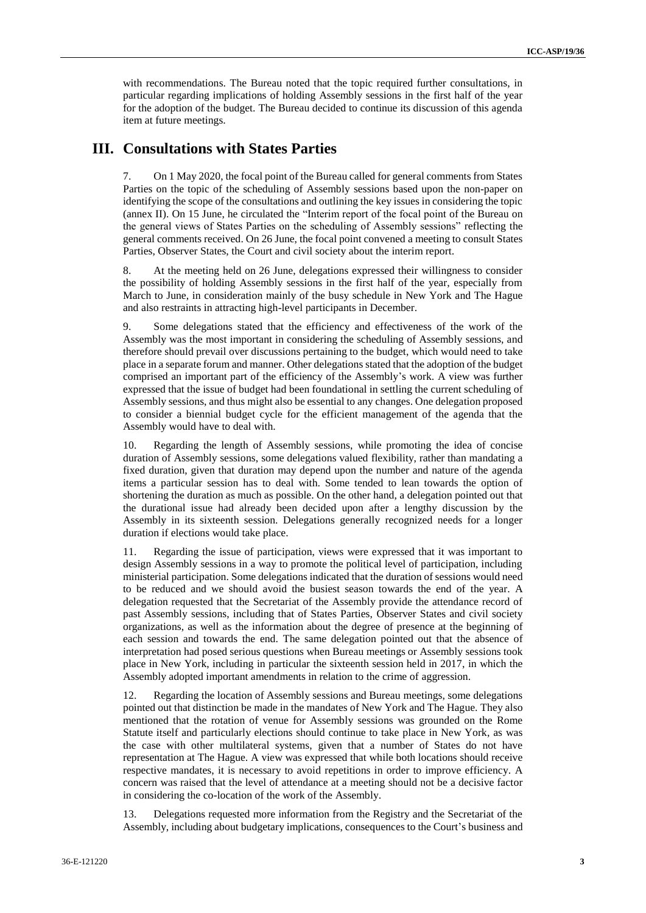with recommendations. The Bureau noted that the topic required further consultations, in particular regarding implications of holding Assembly sessions in the first half of the year for the adoption of the budget. The Bureau decided to continue its discussion of this agenda item at future meetings.

#### **III. Consultations with States Parties**

7. On 1 May 2020, the focal point of the Bureau called for general comments from States Parties on the topic of the scheduling of Assembly sessions based upon the non-paper on identifying the scope of the consultations and outlining the key issues in considering the topic (annex II). On 15 June, he circulated the "Interim report of the focal point of the Bureau on the general views of States Parties on the scheduling of Assembly sessions" reflecting the general comments received. On 26 June, the focal point convened a meeting to consult States Parties, Observer States, the Court and civil society about the interim report.

8. At the meeting held on 26 June, delegations expressed their willingness to consider the possibility of holding Assembly sessions in the first half of the year, especially from March to June, in consideration mainly of the busy schedule in New York and The Hague and also restraints in attracting high-level participants in December.

9. Some delegations stated that the efficiency and effectiveness of the work of the Assembly was the most important in considering the scheduling of Assembly sessions, and therefore should prevail over discussions pertaining to the budget, which would need to take place in a separate forum and manner. Other delegations stated that the adoption of the budget comprised an important part of the efficiency of the Assembly's work. A view was further expressed that the issue of budget had been foundational in settling the current scheduling of Assembly sessions, and thus might also be essential to any changes. One delegation proposed to consider a biennial budget cycle for the efficient management of the agenda that the Assembly would have to deal with.

10. Regarding the length of Assembly sessions, while promoting the idea of concise duration of Assembly sessions, some delegations valued flexibility, rather than mandating a fixed duration, given that duration may depend upon the number and nature of the agenda items a particular session has to deal with. Some tended to lean towards the option of shortening the duration as much as possible. On the other hand, a delegation pointed out that the durational issue had already been decided upon after a lengthy discussion by the Assembly in its sixteenth session. Delegations generally recognized needs for a longer duration if elections would take place.

11. Regarding the issue of participation, views were expressed that it was important to design Assembly sessions in a way to promote the political level of participation, including ministerial participation. Some delegations indicated that the duration of sessions would need to be reduced and we should avoid the busiest season towards the end of the year. A delegation requested that the Secretariat of the Assembly provide the attendance record of past Assembly sessions, including that of States Parties, Observer States and civil society organizations, as well as the information about the degree of presence at the beginning of each session and towards the end. The same delegation pointed out that the absence of interpretation had posed serious questions when Bureau meetings or Assembly sessions took place in New York, including in particular the sixteenth session held in 2017, in which the Assembly adopted important amendments in relation to the crime of aggression.

12. Regarding the location of Assembly sessions and Bureau meetings, some delegations pointed out that distinction be made in the mandates of New York and The Hague. They also mentioned that the rotation of venue for Assembly sessions was grounded on the Rome Statute itself and particularly elections should continue to take place in New York, as was the case with other multilateral systems, given that a number of States do not have representation at The Hague. A view was expressed that while both locations should receive respective mandates, it is necessary to avoid repetitions in order to improve efficiency. A concern was raised that the level of attendance at a meeting should not be a decisive factor in considering the co-location of the work of the Assembly.

13. Delegations requested more information from the Registry and the Secretariat of the Assembly, including about budgetary implications, consequences to the Court's business and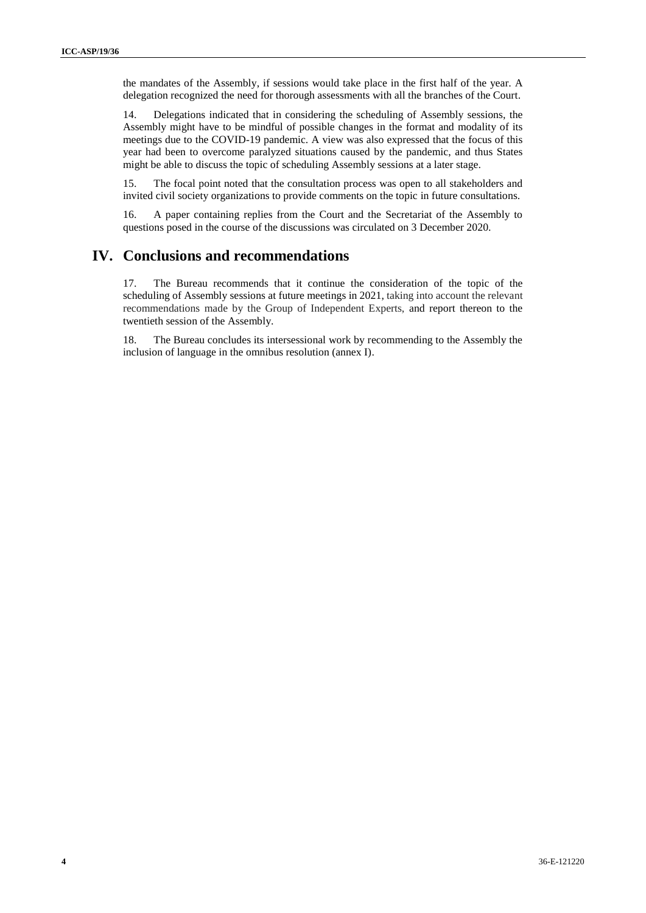the mandates of the Assembly, if sessions would take place in the first half of the year. A delegation recognized the need for thorough assessments with all the branches of the Court.

14. Delegations indicated that in considering the scheduling of Assembly sessions, the Assembly might have to be mindful of possible changes in the format and modality of its meetings due to the COVID-19 pandemic. A view was also expressed that the focus of this year had been to overcome paralyzed situations caused by the pandemic, and thus States might be able to discuss the topic of scheduling Assembly sessions at a later stage.

15. The focal point noted that the consultation process was open to all stakeholders and invited civil society organizations to provide comments on the topic in future consultations.

16. A paper containing replies from the Court and the Secretariat of the Assembly to questions posed in the course of the discussions was circulated on 3 December 2020.

## **IV. Conclusions and recommendations**

17. The Bureau recommends that it continue the consideration of the topic of the scheduling of Assembly sessions at future meetings in 2021, taking into account the relevant recommendations made by the Group of Independent Experts, and report thereon to the twentieth session of the Assembly.

18. The Bureau concludes its intersessional work by recommending to the Assembly the inclusion of language in the omnibus resolution (annex I).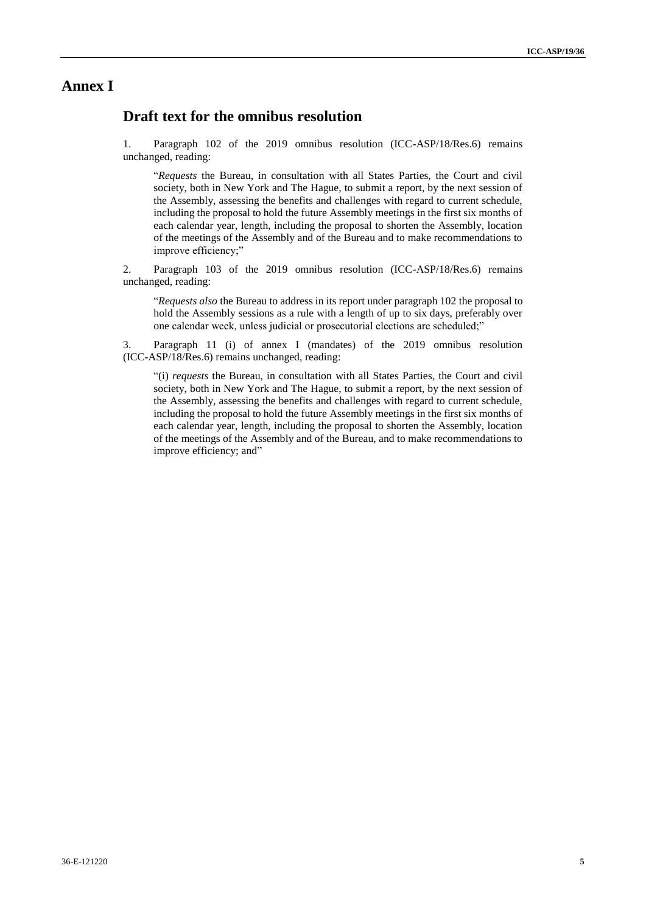### **Annex I**

### **Draft text for the omnibus resolution**

1. Paragraph 102 of the 2019 omnibus resolution (ICC-ASP/18/Res.6) remains unchanged, reading:

"*Requests* the Bureau, in consultation with all States Parties, the Court and civil society, both in New York and The Hague, to submit a report, by the next session of the Assembly, assessing the benefits and challenges with regard to current schedule, including the proposal to hold the future Assembly meetings in the first six months of each calendar year, length, including the proposal to shorten the Assembly, location of the meetings of the Assembly and of the Bureau and to make recommendations to improve efficiency;"

2. Paragraph 103 of the 2019 omnibus resolution (ICC-ASP/18/Res.6) remains unchanged, reading:

"*Requests also* the Bureau to address in its report under paragraph 102 the proposal to hold the Assembly sessions as a rule with a length of up to six days, preferably over one calendar week, unless judicial or prosecutorial elections are scheduled;"

3. Paragraph 11 (i) of annex I (mandates) of the 2019 omnibus resolution (ICC-ASP/18/Res.6) remains unchanged, reading:

"(i) *requests* the Bureau, in consultation with all States Parties, the Court and civil society, both in New York and The Hague, to submit a report, by the next session of the Assembly, assessing the benefits and challenges with regard to current schedule, including the proposal to hold the future Assembly meetings in the first six months of each calendar year, length, including the proposal to shorten the Assembly, location of the meetings of the Assembly and of the Bureau, and to make recommendations to improve efficiency; and"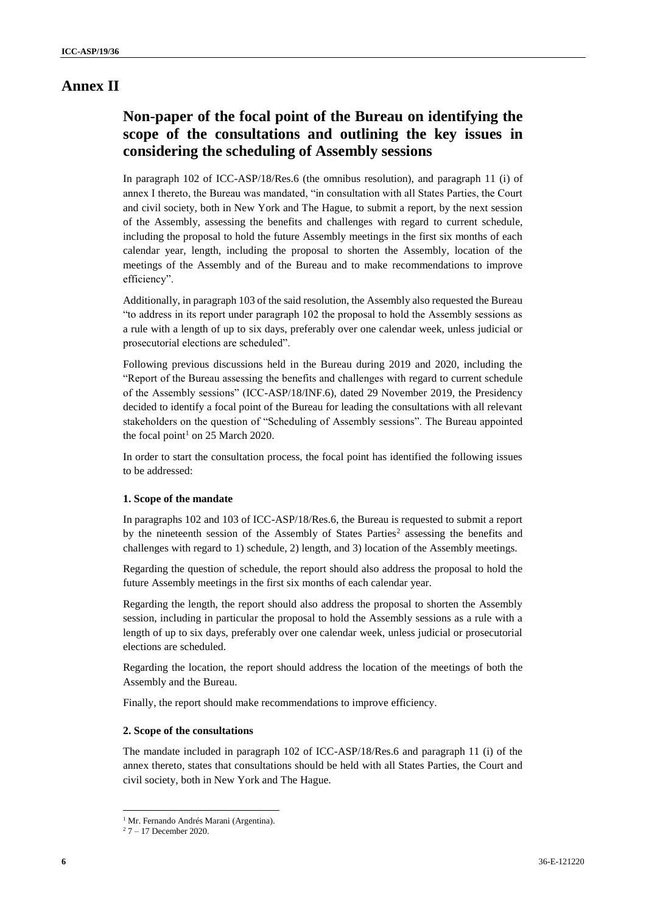## **Annex II**

# **Non-paper of the focal point of the Bureau on identifying the scope of the consultations and outlining the key issues in considering the scheduling of Assembly sessions**

In paragraph 102 of ICC-ASP/18/Res.6 (the omnibus resolution), and paragraph 11 (i) of annex I thereto, the Bureau was mandated, "in consultation with all States Parties, the Court and civil society, both in New York and The Hague, to submit a report, by the next session of the Assembly, assessing the benefits and challenges with regard to current schedule, including the proposal to hold the future Assembly meetings in the first six months of each calendar year, length, including the proposal to shorten the Assembly, location of the meetings of the Assembly and of the Bureau and to make recommendations to improve efficiency".

Additionally, in paragraph 103 of the said resolution, the Assembly also requested the Bureau "to address in its report under paragraph 102 the proposal to hold the Assembly sessions as a rule with a length of up to six days, preferably over one calendar week, unless judicial or prosecutorial elections are scheduled".

Following previous discussions held in the Bureau during 2019 and 2020, including the "Report of the Bureau assessing the benefits and challenges with regard to current schedule of the Assembly sessions" (ICC-ASP/18/INF.6), dated 29 November 2019, the Presidency decided to identify a focal point of the Bureau for leading the consultations with all relevant stakeholders on the question of "Scheduling of Assembly sessions". The Bureau appointed the focal point<sup>1</sup> on 25 March 2020.

In order to start the consultation process, the focal point has identified the following issues to be addressed:

#### **1. Scope of the mandate**

In paragraphs 102 and 103 of ICC-ASP/18/Res.6, the Bureau is requested to submit a report by the nineteenth session of the Assembly of States Parties<sup>2</sup> assessing the benefits and challenges with regard to 1) schedule, 2) length, and 3) location of the Assembly meetings.

Regarding the question of schedule, the report should also address the proposal to hold the future Assembly meetings in the first six months of each calendar year.

Regarding the length, the report should also address the proposal to shorten the Assembly session, including in particular the proposal to hold the Assembly sessions as a rule with a length of up to six days, preferably over one calendar week, unless judicial or prosecutorial elections are scheduled.

Regarding the location, the report should address the location of the meetings of both the Assembly and the Bureau.

Finally, the report should make recommendations to improve efficiency.

#### **2. Scope of the consultations**

The mandate included in paragraph 102 of ICC-ASP/18/Res.6 and paragraph 11 (i) of the annex thereto, states that consultations should be held with all States Parties, the Court and civil society, both in New York and The Hague.

 $\overline{\phantom{a}}$ 

<sup>&</sup>lt;sup>1</sup> Mr. Fernando Andrés Marani (Argentina).

 $27 - 17$  December 2020.